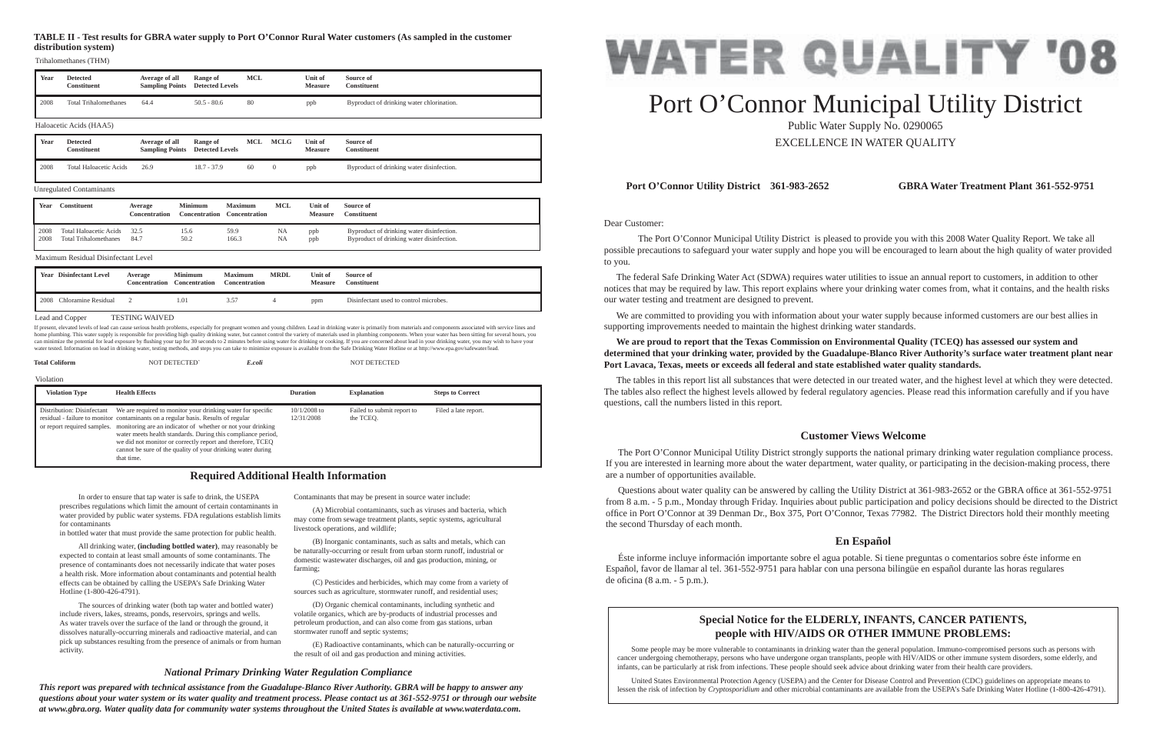Dear Customer:

 The Port O'Connor Municipal Utility District is pleased to provide you with this 2008 Water Quality Report. We take all possible precautions to safeguard your water supply and hope you will be encouraged to learn about the high quality of water provided to you.

 The federal Safe Drinking Water Act (SDWA) requires water utilities to issue an annual report to customers, in addition to other notices that may be required by law. This report explains where your drinking water comes from, what it contains, and the health risks our water testing and treatment are designed to prevent.

 We are committed to providing you with information about your water supply because informed customers are our best allies in supporting improvements needed to maintain the highest drinking water standards.

## **We are proud to report that the Texas Commission on Environmental Quality (TCEQ) has assessed our system and Port Lavaca, Texas, meets or exceeds all federal and state established water quality standards.**

**determined that your drinking water, provided by the Guadalupe-Blanco River Authority's surface water treatment plant near** 

Questions about water quality can be answered by calling the Utility District at 361-983-2652 or the GBRA office at 361-552-9751 from 8 a.m. - 5 p.m., Monday through Friday. Inquiries about public participation and policy decisions should be directed to the District office in Port O'Connor at 39 Denman Dr., Box 375, Port O'Connor, Texas 77982. The District Directors hold their monthly meeting the second Thursday of each month.

 Éste informe incluye información importante sobre el agua potable. Si tiene preguntas o comentarios sobre éste informe en Español, favor de llamar al tel. 361-552-9751 para hablar con una persona bilingüe en español durante las horas regulares de oficina (8 a.m.  $-5$  p.m.).

The tables in this report list all substances that were detected in our treated water, and the highest level at which they were detected. The tables also reflect the highest levels allowed by federal regulatory agencies. Please read this information carefully and if you have questions, call the numbers listed in this report.

## **Port O'Connor Utility District 361-983-2652 GBRA Water Treatment Plant 361-552-9751**

## **Customer Views Welcome**

 The Port O'Connor Municipal Utility District strongly supports the national primary drinking water regulation compliance process. If you are interested in learning more about the water department, water quality, or participating in the decision-making process, there are a number of opportunities available.

## **En Español**

 In order to ensure that tap water is safe to drink, the USEPA prescribes regulations which limit the amount of certain contaminants in water provided by public water systems. FDA regulations establish limits for contaminants

in bottled water that must provide the same protection for public health.

If present, elevated levels of lead can cause serious health problems, especially for pregnant women and young children. Lead in drinking water is primarily from materials and components associated with service lines and home plumbing. This water supply is responsible for providing high quality drinking water, but cannot control the variety of materials used in plumbing components. When your water has been sitting for several hours, you<br>ca water tested. Information on lead in drinking water, testing methods, and steps you can take to minimize exposure is available from the Safe Drinking Water Hotline or at http://www.epa.gov/safewater/lea

| <b>Total Coliform</b> | <b>NOT DETECTED'</b> | E.coli |
|-----------------------|----------------------|--------|

 All drinking water, **(including bottled water)**, may reasonably be expected to contain at least small amounts of some contaminants. The presence of contaminants does not necessarily indicate that water poses a health risk. More information about contaminants and potential health effects can be obtained by calling the USEPA's Safe Drinking Water Hotline (1-800-426-4791).

 The sources of drinking water (both tap water and bottled water) include rivers, lakes, streams, ponds, reservoirs, springs and wells. As water travels over the surface of the land or through the ground, it dissolves naturally-occurring minerals and radioactive material, and can pick up substances resulting from the presence of animals or from human activity.

Contaminants that may be present in source water include:

 (A) Microbial contaminants, such as viruses and bacteria, which may come from sewage treatment plants, septic systems, agricultural livestock operations, and wildlife;

 (B) Inorganic contaminants, such as salts and metals, which can be naturally-occurring or result from urban storm runoff, industrial or domestic wastewater discharges, oil and gas production, mining, or farming;

 (C) Pesticides and herbicides, which may come from a variety of sources such as agriculture, stormwater runoff, and residential uses;

 (D) Organic chemical contaminants, including synthetic and volatile organics, which are by-products of industrial processes and petroleum production, and can also come from gas stations, urban stormwater runoff and septic systems;

 (E) Radioactive contaminants, which can be naturally-occurring or the result of oil and gas production and mining activities.

## **Required Additional Health Information**

## *National Primary Drinking Water Regulation Compliance*

*This report was prepared with technical assistance from the Guadalupe-Blanco River Authority. GBRA will be happy to answer any questions about your water system or its water quality and treatment process. Please contact us at 361-552-9751 or through our website at www.gbra.org. Water quality data for community water systems throughout the United States is available at www.waterdata.com.*



# Port O'Connor Municipal Utility District Public Water Supply No. 0290065

EXCELLENCE IN WATER QUALITY

## **Special Notice for the ELDERLY, INFANTS, CANCER PATIENTS, people with HIV/AIDS OR OTHER IMMUNE PROBLEMS:**

Some people may be more vulnerable to contaminants in drinking water than the general population. Immuno-compromised persons such as persons with cancer undergoing chemotherapy, persons who have undergone organ transplants, people with HIV/AIDS or other immune system disorders, some elderly, and infants, can be particularly at risk from infections. These people should seek advice about drinking water from their health care providers.

 United States Environmental Protection Agency (USEPA) and the Center for Disease Control and Prevention (CDC) guidelines on appropriate means to lessen the risk of infection by *Cryptosporidium* and other microbial contaminants are available from the USEPA's Safe Drinking Water Hotline (1-800-426-4791).

**Total Coliform** NOT DETECTED` *E.coli* NOT DETECTED

|      | <b>Year</b> Disinfectant Level | Average<br><b>Concentration</b> | <b>Minimum</b><br><b>Concentration</b> | <b>Maximum</b><br>Concentration | <b>MRDL</b> | Unit of<br><b>Measure</b> | Source of<br>Constituent               |
|------|--------------------------------|---------------------------------|----------------------------------------|---------------------------------|-------------|---------------------------|----------------------------------------|
| 2008 | Chloramine Residual            |                                 | 1.01                                   | 3.57                            |             | ppm                       | Disinfectant used to control microbes. |

### Lead and Copper TESTING WAIVED

### Maximum Residual Disinfectant Level

## **TABLE II - Test results for GBRA water supply to Port O'Connor Rural Water customers (As sampled in the customer distribution system)**

| Year | <b>Detected</b><br><b>Constituent</b> | Average of all<br><b>Sampling Points</b> | Range of<br><b>Detected Levels</b> | <b>MCL</b> |                | Unit of<br><b>Measure</b> | Source of<br><b>Constituent</b>           |
|------|---------------------------------------|------------------------------------------|------------------------------------|------------|----------------|---------------------------|-------------------------------------------|
| 2008 | <b>Total Trihalomethanes</b>          | 64.4                                     | $50.5 - 80.6$                      | 80         |                | ppb                       | Byproduct of drinking water chlorination. |
|      | Haloacetic Acids (HAA5)               |                                          |                                    |            |                |                           |                                           |
|      |                                       |                                          |                                    |            |                |                           |                                           |
| Year | <b>Detected</b><br><b>Constituent</b> | Average of all<br><b>Sampling Points</b> | Range of<br><b>Detected Levels</b> | <b>MCL</b> | <b>MCLG</b>    | Unit of<br><b>Measure</b> | Source of<br><b>Constituent</b>           |
| 2008 | <b>Total Haloacetic Acids</b>         | 26.9                                     | $18.7 - 37.9$                      | 60         | $\overline{0}$ | ppb                       | Byproduct of drinking water disinfection. |

Trihalomethanes (THM)

| Year | Constituent                   | Average<br>Concentration | Minimum<br>Concentration | <b>Maximum</b><br><b>Concentration</b> | MCL       | Unit of<br><b>Measure</b> | Source of<br>Constituent                  |
|------|-------------------------------|--------------------------|--------------------------|----------------------------------------|-----------|---------------------------|-------------------------------------------|
| 2008 | <b>Total Haloacetic Acids</b> | 32.5                     | 15.6                     | 59.9                                   | NA        | ppb                       | Byproduct of drinking water disinfection. |
| 2008 | <b>Total Trihalomethanes</b>  | 84.7                     | 50.2                     | 166.3                                  | <b>NA</b> | ppb                       | Byproduct of drinking water disinfection. |

| <b>Violation Type</b>      | <b>Health Effects</b>                                                                                                                                                                                                                                                                                                                                                                                                                                  | <b>Duration</b>              | <b>Explanation</b>                      | <b>Steps to Correct</b> |
|----------------------------|--------------------------------------------------------------------------------------------------------------------------------------------------------------------------------------------------------------------------------------------------------------------------------------------------------------------------------------------------------------------------------------------------------------------------------------------------------|------------------------------|-----------------------------------------|-------------------------|
| Distribution: Disinfectant | We are required to monitor your drinking water for specific<br>residual - failure to monitor contaminants on a regular basis. Results of regular<br>or report required samples. monitoring are an indicator of whether or not your drinking<br>water meets health standards. During this compliance period,<br>we did not monitor or correctly report and therefore, TCEO<br>cannot be sure of the quality of your drinking water during<br>that time. | $10/1/2008$ to<br>12/31/2008 | Failed to submit report to<br>the TCEO. | Filed a late report.    |

#### Violation